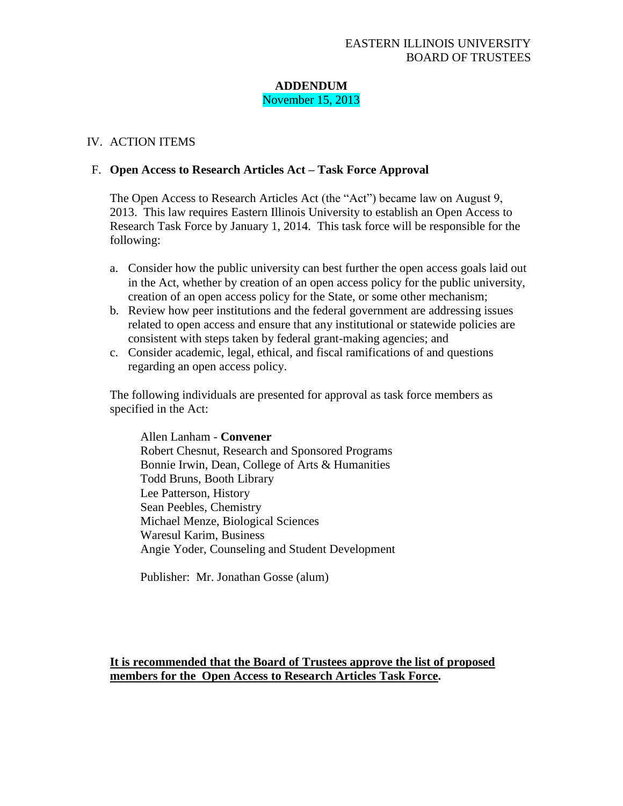## **ADDENDUM** November 15, 2013

## IV. ACTION ITEMS

## F. **Open Access to Research Articles Act – Task Force Approval**

The Open Access to Research Articles Act (the "Act") became law on August 9, 2013. This law requires Eastern Illinois University to establish an Open Access to Research Task Force by January 1, 2014. This task force will be responsible for the following:

- a. Consider how the public university can best further the open access goals laid out in the Act, whether by creation of an open access policy for the public university, creation of an open access policy for the State, or some other mechanism;
- b. Review how peer institutions and the federal government are addressing issues related to open access and ensure that any institutional or statewide policies are consistent with steps taken by federal grant-making agencies; and
- c. Consider academic, legal, ethical, and fiscal ramifications of and questions regarding an open access policy.

The following individuals are presented for approval as task force members as specified in the Act:

Allen Lanham - **Convener** Robert Chesnut, Research and Sponsored Programs Bonnie Irwin, Dean, College of Arts & Humanities Todd Bruns, Booth Library Lee Patterson, History Sean Peebles, Chemistry Michael Menze, Biological Sciences Waresul Karim, Business Angie Yoder, Counseling and Student Development

Publisher: Mr. Jonathan Gosse (alum)

**It is recommended that the Board of Trustees approve the list of proposed members for the Open Access to Research Articles Task Force.**